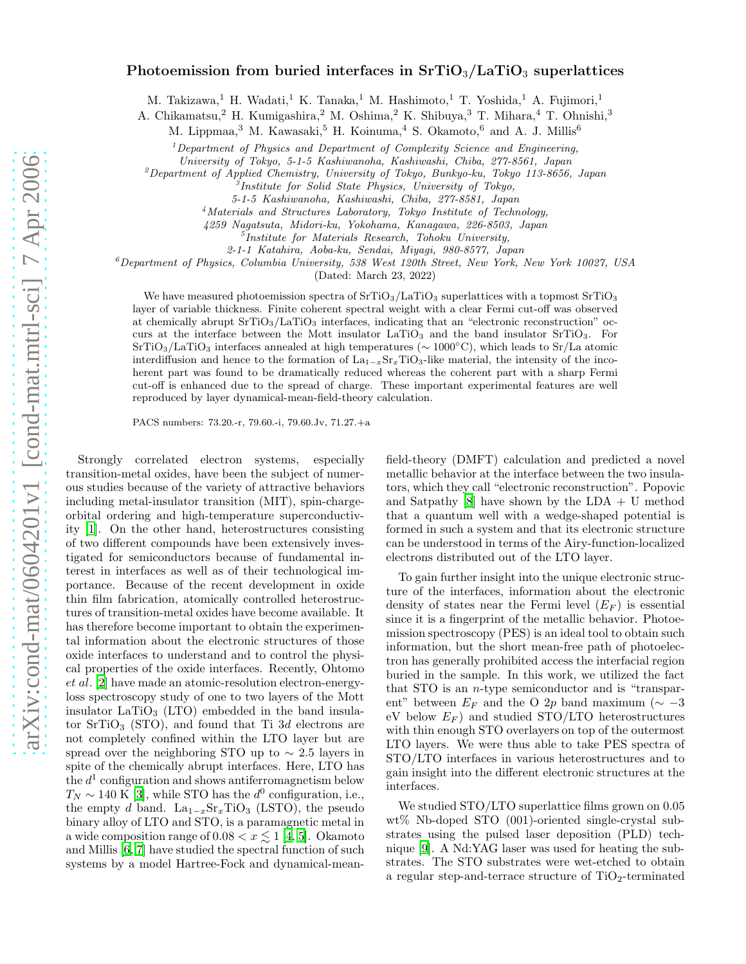## Photoemission from buried interfaces in  $SrTiO<sub>3</sub>/LaTiO<sub>3</sub>$  superlattices

M. Takizawa,<sup>1</sup> H. Wadati,<sup>1</sup> K. Tanaka,<sup>1</sup> M. Hashimoto,<sup>1</sup> T. Yoshida,<sup>1</sup> A. Fujimori,<sup>1</sup>

A. Chikamatsu,<sup>2</sup> H. Kumigashira,<sup>2</sup> M. Oshima,<sup>2</sup> K. Shibuya,<sup>3</sup> T. Mihara,<sup>4</sup> T. Ohnishi,<sup>3</sup>

M. Lippmaa,<sup>3</sup> M. Kawasaki,<sup>5</sup> H. Koinuma,<sup>4</sup> S. Okamoto,<sup>6</sup> and A. J. Millis<sup>6</sup>

 $1$  Department of Physics and Department of Complexity Science and Engineering,

University of Tokyo, 5-1-5 Kashiwanoha, Kashiwashi, Chiba, 277-8561, Japan

<sup>2</sup>Department of Applied Chemistry, University of Tokyo, Bunkyo-ku, Tokyo 113-8656, Japan

3 Institute for Solid State Physics, University of Tokyo,

<sup>4</sup>Materials and Structures Laboratory, Tokyo Institute of Technology,

4259 Nagatsuta, Midori-ku, Yokohama, Kanagawa, 226-8503, Japan

5 Institute for Materials Research, Tohoku University,

2-1-1 Katahira, Aoba-ku, Sendai, Miyagi, 980-8577, Japan

 $6$ Department of Physics, Columbia University, 538 West 120th Street, New York, New York 10027, USA

(Dated: March 23, 2022)

We have measured photoemission spectra of  $SrTiO<sub>3</sub>/LaTiO<sub>3</sub>$  superlattices with a topmost  $SrTiO<sub>3</sub>$ layer of variable thickness. Finite coherent spectral weight with a clear Fermi cut-off was observed at chemically abrupt  $SrTiO<sub>3</sub>/LaTiO<sub>3</sub>$  interfaces, indicating that an "electronic reconstruction" occurs at the interface between the Mott insulator  $LaTiO<sub>3</sub>$  and the band insulator  $SrTiO<sub>3</sub>$ . For SrTiO3/LaTiO<sup>3</sup> interfaces annealed at high temperatures (∼ 1000◦C), which leads to Sr/La atomic interdiffusion and hence to the formation of  $La_{1-x}Sr_xTiO_3$ -like material, the intensity of the incoherent part was found to be dramatically reduced whereas the coherent part with a sharp Fermi cut-off is enhanced due to the spread of charge. These important experimental features are well reproduced by layer dynamical-mean-field-theory calculation.

PACS numbers: 73.20.-r, 79.60.-i, 79.60.Jv, 71.27.+a

Strongly correlated electron systems, especially transition-metal oxides, have been the subject of numerous studies because of the variety of attractive behaviors including metal-insulator transition (MIT), spin-chargeorbital ordering and high-temperature superconductivity [\[1\]](#page-3-0). On the other hand, heterostructures consisting of two different compounds have been extensively investigated for semiconductors because of fundamental interest in interfaces as well as of their technological importance. Because of the recent development in oxide thin film fabrication, atomically controlled heterostructures of transition-metal oxides have become available. It has therefore become important to obtain the experimental information about the electronic structures of those oxide interfaces to understand and to control the physical properties of the oxide interfaces. Recently, Ohtomo et al. [\[2](#page-3-1)] have made an atomic-resolution electron-energyloss spectroscopy study of one to two layers of the Mott insulator  $LaTiO<sub>3</sub> (LTO)$  embedded in the band insulator  $SrTiO<sub>3</sub>$  (STO), and found that Ti 3d electrons are not completely confined within the LTO layer but are spread over the neighboring STO up to  $\sim 2.5$  layers in spite of the chemically abrupt interfaces. Here, LTO has the  $d^1$  configuration and shows antiferromagnetism below  $T_N \sim 140 \text{ K}$  [\[3\]](#page-3-2), while STO has the  $d^0$  configuration, i.e., the empty d band.  $La_{1-x}Sr_xTiO_3$  (LSTO), the pseudo binary alloy of LTO and STO, is a paramagnetic metal in a wide composition range of  $0.08 < x \leq 1$  [\[4,](#page-3-3) [5\]](#page-3-4). Okamoto and Millis [\[6,](#page-3-5) [7](#page-3-6)] have studied the spectral function of such systems by a model Hartree-Fock and dynamical-mean-

field-theory (DMFT) calculation and predicted a novel metallic behavior at the interface between the two insulators, which they call "electronic reconstruction". Popovic and Satpathy  $[8]$  have shown by the LDA + U method that a quantum well with a wedge-shaped potential is formed in such a system and that its electronic structure can be understood in terms of the Airy-function-localized electrons distributed out of the LTO layer.

To gain further insight into the unique electronic structure of the interfaces, information about the electronic density of states near the Fermi level  $(E_F)$  is essential since it is a fingerprint of the metallic behavior. Photoemission spectroscopy (PES) is an ideal tool to obtain such information, but the short mean-free path of photoelectron has generally prohibited access the interfacial region buried in the sample. In this work, we utilized the fact that STO is an n-type semiconductor and is "transparent" between  $E_F$  and the O 2p band maximum ( $\sim -3$ eV below  $E_F$ ) and studied STO/LTO heterostructures with thin enough STO overlayers on top of the outermost LTO layers. We were thus able to take PES spectra of STO/LTO interfaces in various heterostructures and to gain insight into the different electronic structures at the interfaces.

We studied STO/LTO superlattice films grown on 0.05 wt% Nb-doped STO (001)-oriented single-crystal substrates using the pulsed laser deposition (PLD) technique [\[9](#page-3-8)]. A Nd:YAG laser was used for heating the substrates. The STO substrates were wet-etched to obtain a regular step-and-terrace structure of  $TiO<sub>2</sub>$ -terminated

<sup>5-1-5</sup> Kashiwanoha, Kashiwashi, Chiba, 277-8581, Japan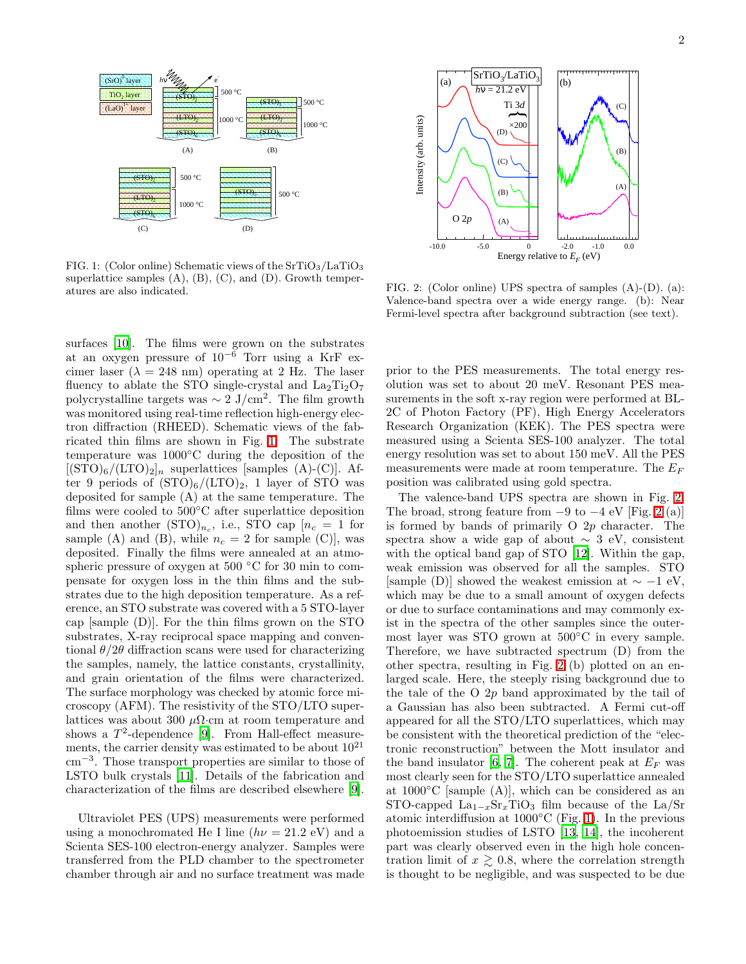

<span id="page-1-0"></span>FIG. 1: (Color online) Schematic views of the  $SrTiO<sub>3</sub>/LaTiO<sub>3</sub>$ superlattice samples  $(A)$ ,  $(B)$ ,  $(C)$ , and  $(D)$ . Growth temperatures are also indicated.

surfaces [\[10\]](#page-3-9). The films were grown on the substrates at an oxygen pressure of  $10^{-6}$  Torr using a KrF excimer laser ( $\lambda = 248$  nm) operating at 2 Hz. The laser fluency to ablate the STO single-crystal and  $La_2Ti_2O_7$ polycrystalline targets was  $\sim 2$  J/cm<sup>2</sup>. The film growth was monitored using real-time reflection high-energy electron diffraction (RHEED). Schematic views of the fabricated thin films are shown in Fig. [1.](#page-1-0) The substrate temperature was 1000◦C during the deposition of the  $[(STO)<sub>6</sub>/(LTO)<sub>2</sub>]$ <sub>n</sub> superlattices [samples (A)-(C)]. After 9 periods of  $(TO)_6/(LTO)_2$ , 1 layer of STO was deposited for sample (A) at the same temperature. The films were cooled to  $500^{\circ}$ C after superlattice deposition and then another  $(\text{STO})_{n_c}$ , i.e., STO cap  $[n_c = 1$  for sample (A) and (B), while  $n_c = 2$  for sample (C), was deposited. Finally the films were annealed at an atmospheric pressure of oxygen at 500 ◦C for 30 min to compensate for oxygen loss in the thin films and the substrates due to the high deposition temperature. As a reference, an STO substrate was covered with a 5 STO-layer cap [sample (D)]. For the thin films grown on the STO substrates, X-ray reciprocal space mapping and conventional  $\theta/2\theta$  diffraction scans were used for characterizing the samples, namely, the lattice constants, crystallinity, and grain orientation of the films were characterized. The surface morphology was checked by atomic force microscopy (AFM). The resistivity of the STO/LTO superlattices was about 300  $\mu\Omega$ ·cm at room temperature and shows a  $T^2$ -dependence [\[9\]](#page-3-8). From Hall-effect measurements, the carrier density was estimated to be about  $10^{21}$ cm<sup>−</sup><sup>3</sup> . Those transport properties are similar to those of LSTO bulk crystals [\[11](#page-3-10)]. Details of the fabrication and characterization of the films are described elsewhere [\[9\]](#page-3-8).

Ultraviolet PES (UPS) measurements were performed using a monochromated He I line  $(h\nu = 21.2 \text{ eV})$  and a Scienta SES-100 electron-energy analyzer. Samples were transferred from the PLD chamber to the spectrometer chamber through air and no surface treatment was made



<span id="page-1-1"></span>FIG. 2: (Color online) UPS spectra of samples (A)-(D). (a): Valence-band spectra over a wide energy range. (b): Near Fermi-level spectra after background subtraction (see text).

prior to the PES measurements. The total energy resolution was set to about 20 meV. Resonant PES measurements in the soft x-ray region were performed at BL-2C of Photon Factory (PF), High Energy Accelerators Research Organization (KEK). The PES spectra were measured using a Scienta SES-100 analyzer. The total energy resolution was set to about 150 meV. All the PES measurements were made at room temperature. The  $E_F$ position was calibrated using gold spectra.

The valence-band UPS spectra are shown in Fig. [2.](#page-1-1) The broad, strong feature from  $-9$  to  $-4$  eV [Fig. [2](#page-1-1) (a)] is formed by bands of primarily  $O(2p)$  character. The spectra show a wide gap of about  $\sim 3$  eV, consistent with the optical band gap of STO [\[12](#page-3-11)]. Within the gap, weak emission was observed for all the samples. STO [sample (D)] showed the weakest emission at  $\sim -1$  eV, which may be due to a small amount of oxygen defects or due to surface contaminations and may commonly exist in the spectra of the other samples since the outermost layer was STO grown at 500◦C in every sample. Therefore, we have subtracted spectrum (D) from the other spectra, resulting in Fig. [2](#page-1-1) (b) plotted on an enlarged scale. Here, the steeply rising background due to the tale of the O 2p band approximated by the tail of a Gaussian has also been subtracted. A Fermi cut-off appeared for all the STO/LTO superlattices, which may be consistent with the theoretical prediction of the "electronic reconstruction" between the Mott insulator and the band insulator [\[6](#page-3-5), [7\]](#page-3-6). The coherent peak at  $E_F$  was most clearly seen for the STO/LTO superlattice annealed at  $1000\degree$ C [sample (A)], which can be considered as an STO-capped  $La_{1-x}Sr_xTiO_3$  film because of the La/Sr atomic interdiffusion at  $1000\degree$ C (Fig. [1\)](#page-1-0). In the previous photoemission studies of LSTO [\[13,](#page-3-12) [14](#page-3-13)], the incoherent part was clearly observed even in the high hole concentration limit of  $x \geq 0.8$ , where the correlation strength is thought to be negligible, and was suspected to be due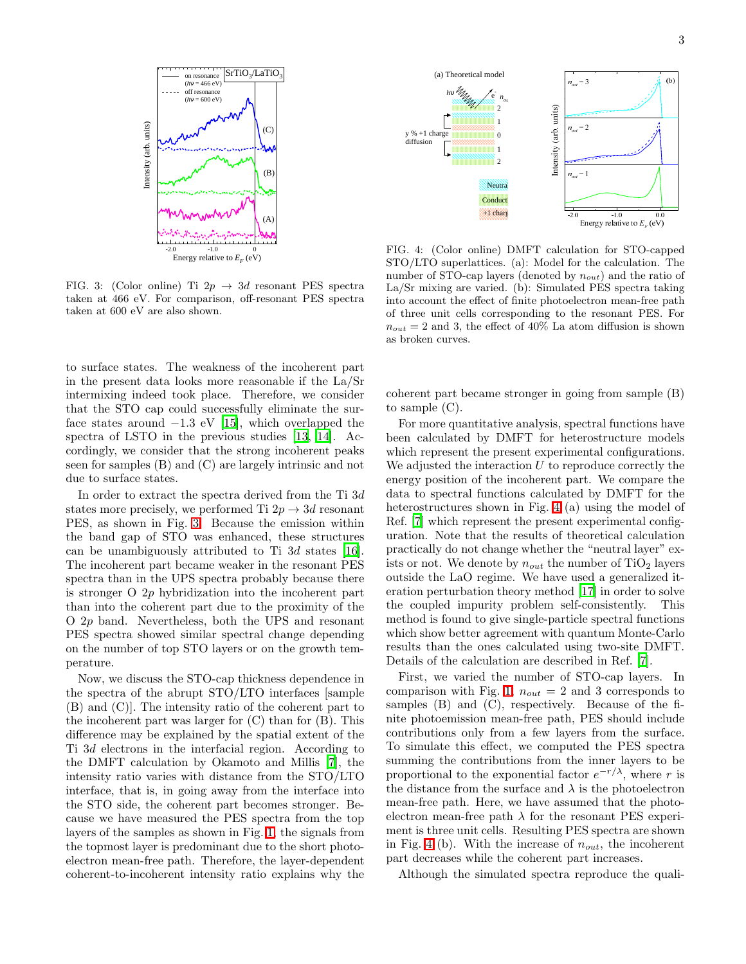

<span id="page-2-0"></span>FIG. 3: (Color online) Ti  $2p \rightarrow 3d$  resonant PES spectra taken at 466 eV. For comparison, off-resonant PES spectra taken at 600 eV are also shown.

to surface states. The weakness of the incoherent part in the present data looks more reasonable if the La/Sr intermixing indeed took place. Therefore, we consider that the STO cap could successfully eliminate the surface states around  $-1.3$  eV [\[15\]](#page-3-14), which overlapped the spectra of LSTO in the previous studies [\[13,](#page-3-12) [14](#page-3-13)]. Accordingly, we consider that the strong incoherent peaks seen for samples (B) and (C) are largely intrinsic and not due to surface states.

In order to extract the spectra derived from the Ti 3d states more precisely, we performed Ti  $2p \rightarrow 3d$  resonant PES, as shown in Fig. [3.](#page-2-0) Because the emission within the band gap of STO was enhanced, these structures can be unambiguously attributed to Ti 3d states [\[16\]](#page-3-15). The incoherent part became weaker in the resonant PES spectra than in the UPS spectra probably because there is stronger O 2p hybridization into the incoherent part than into the coherent part due to the proximity of the O 2p band. Nevertheless, both the UPS and resonant PES spectra showed similar spectral change depending on the number of top STO layers or on the growth temperature.

Now, we discuss the STO-cap thickness dependence in the spectra of the abrupt STO/LTO interfaces [sample (B) and (C)]. The intensity ratio of the coherent part to the incoherent part was larger for (C) than for (B). This difference may be explained by the spatial extent of the Ti 3d electrons in the interfacial region. According to the DMFT calculation by Okamoto and Millis [\[7\]](#page-3-6), the intensity ratio varies with distance from the STO/LTO interface, that is, in going away from the interface into the STO side, the coherent part becomes stronger. Because we have measured the PES spectra from the top layers of the samples as shown in Fig. [1,](#page-1-0) the signals from the topmost layer is predominant due to the short photoelectron mean-free path. Therefore, the layer-dependent coherent-to-incoherent intensity ratio explains why the



<span id="page-2-1"></span>FIG. 4: (Color online) DMFT calculation for STO-capped STO/LTO superlattices. (a): Model for the calculation. The number of STO-cap layers (denoted by  $n_{out}$ ) and the ratio of La/Sr mixing are varied. (b): Simulated PES spectra taking into account the effect of finite photoelectron mean-free path of three unit cells corresponding to the resonant PES. For  $n_{out} = 2$  and 3, the effect of 40% La atom diffusion is shown as broken curves.

coherent part became stronger in going from sample (B) to sample (C).

For more quantitative analysis, spectral functions have been calculated by DMFT for heterostructure models which represent the present experimental configurations. We adjusted the interaction  $U$  to reproduce correctly the energy position of the incoherent part. We compare the data to spectral functions calculated by DMFT for the heterostructures shown in Fig. [4](#page-2-1) (a) using the model of Ref. [\[7](#page-3-6)] which represent the present experimental configuration. Note that the results of theoretical calculation practically do not change whether the "neutral layer" exists or not. We denote by  $n_{out}$  the number of TiO<sub>2</sub> layers outside the LaO regime. We have used a generalized iteration perturbation theory method [\[17](#page-4-0)] in order to solve the coupled impurity problem self-consistently. This method is found to give single-particle spectral functions which show better agreement with quantum Monte-Carlo results than the ones calculated using two-site DMFT. Details of the calculation are described in Ref. [\[7\]](#page-3-6).

First, we varied the number of STO-cap layers. In comparison with Fig. [1,](#page-1-0)  $n_{out} = 2$  and 3 corresponds to samples (B) and (C), respectively. Because of the finite photoemission mean-free path, PES should include contributions only from a few layers from the surface. To simulate this effect, we computed the PES spectra summing the contributions from the inner layers to be proportional to the exponential factor  $e^{-r/\lambda}$ , where r is the distance from the surface and  $\lambda$  is the photoelectron mean-free path. Here, we have assumed that the photoelectron mean-free path  $\lambda$  for the resonant PES experiment is three unit cells. Resulting PES spectra are shown in Fig. [4](#page-2-1) (b). With the increase of  $n_{out}$ , the incoherent part decreases while the coherent part increases.

Although the simulated spectra reproduce the quali-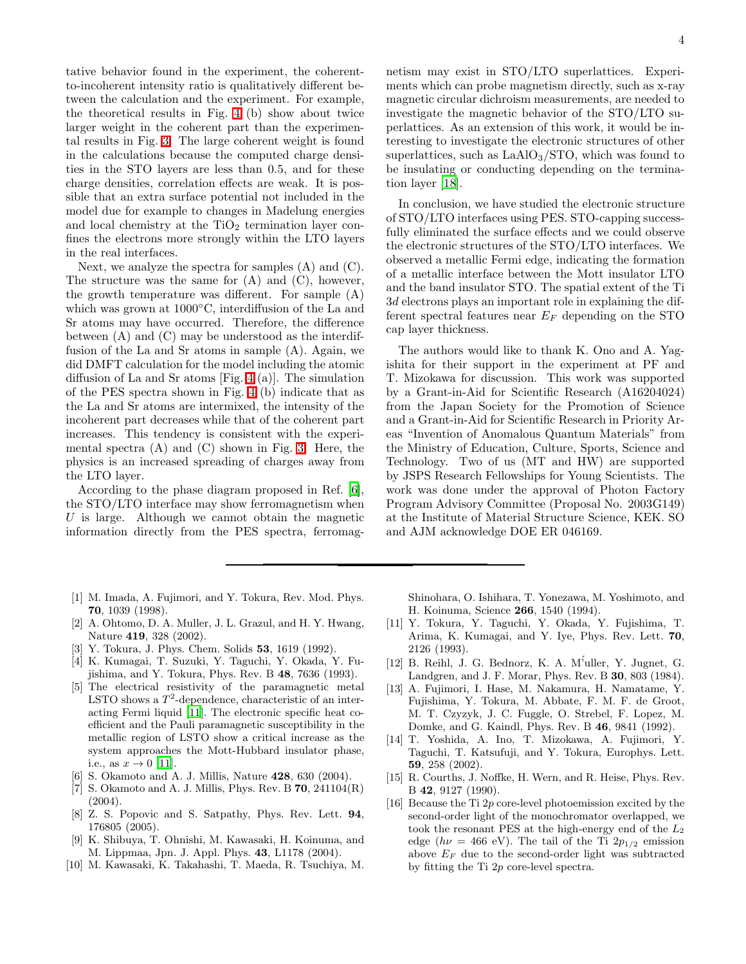tative behavior found in the experiment, the coherentto-incoherent intensity ratio is qualitatively different between the calculation and the experiment. For example, the theoretical results in Fig. [4](#page-2-1) (b) show about twice larger weight in the coherent part than the experimental results in Fig. [3.](#page-2-0) The large coherent weight is found in the calculations because the computed charge densities in the STO layers are less than 0.5, and for these charge densities, correlation effects are weak. It is possible that an extra surface potential not included in the model due for example to changes in Madelung energies and local chemistry at the  $TiO<sub>2</sub>$  termination layer confines the electrons more strongly within the LTO layers in the real interfaces.

Next, we analyze the spectra for samples (A) and (C). The structure was the same for  $(A)$  and  $(C)$ , however, the growth temperature was different. For sample (A) which was grown at 1000◦C, interdiffusion of the La and Sr atoms may have occurred. Therefore, the difference between (A) and (C) may be understood as the interdiffusion of the La and Sr atoms in sample (A). Again, we did DMFT calculation for the model including the atomic diffusion of La and Sr atoms [Fig. [4](#page-2-1) (a)]. The simulation of the PES spectra shown in Fig. [4](#page-2-1) (b) indicate that as the La and Sr atoms are intermixed, the intensity of the incoherent part decreases while that of the coherent part increases. This tendency is consistent with the experimental spectra  $(A)$  and  $(C)$  shown in Fig. [3.](#page-2-0) Here, the physics is an increased spreading of charges away from the LTO layer.

According to the phase diagram proposed in Ref. [\[6\]](#page-3-5), the STO/LTO interface may show ferromagnetism when  $U$  is large. Although we cannot obtain the magnetic information directly from the PES spectra, ferromag-

- <span id="page-3-0"></span>[1] M. Imada, A. Fujimori, and Y. Tokura, Rev. Mod. Phys. 70, 1039 (1998).
- <span id="page-3-1"></span>[2] A. Ohtomo, D. A. Muller, J. L. Grazul, and H. Y. Hwang, Nature 419, 328 (2002).
- <span id="page-3-2"></span>Y. Tokura, J. Phys. Chem. Solids 53, 1619 (1992).
- <span id="page-3-3"></span>[4] K. Kumagai, T. Suzuki, Y. Taguchi, Y. Okada, Y. Fujishima, and Y. Tokura, Phys. Rev. B 48, 7636 (1993).
- <span id="page-3-4"></span>[5] The electrical resistivity of the paramagnetic metal LSTO shows a  $T^2$ -dependence, characteristic of an interacting Fermi liquid [\[11\]](#page-3-10). The electronic specific heat coefficient and the Pauli paramagnetic susceptibility in the metallic region of LSTO show a critical increase as the system approaches the Mott-Hubbard insulator phase, i.e., as  $x \to 0$  [\[11](#page-3-10)].
- [6] S. Okamoto and A. J. Millis, Nature 428, 630 (2004).
- <span id="page-3-6"></span><span id="page-3-5"></span>[7] S. Okamoto and A. J. Millis, Phys. Rev. B  $70$ ,  $241104(R)$ (2004).
- <span id="page-3-7"></span>[8] Z. S. Popovic and S. Satpathy, Phys. Rev. Lett. 94, 176805 (2005).
- [9] K. Shibuya, T. Ohnishi, M. Kawasaki, H. Koinuma, and M. Lippmaa, Jpn. J. Appl. Phys. 43, L1178 (2004).
- <span id="page-3-9"></span><span id="page-3-8"></span>[10] M. Kawasaki, K. Takahashi, T. Maeda, R. Tsuchiya, M.

netism may exist in STO/LTO superlattices. Experiments which can probe magnetism directly, such as x-ray magnetic circular dichroism measurements, are needed to investigate the magnetic behavior of the STO/LTO superlattices. As an extension of this work, it would be interesting to investigate the electronic structures of other superlattices, such as  $LaAlO<sub>3</sub>/STO$ , which was found to be insulating or conducting depending on the termination layer [\[18](#page-4-1)].

In conclusion, we have studied the electronic structure of STO/LTO interfaces using PES. STO-capping successfully eliminated the surface effects and we could observe the electronic structures of the STO/LTO interfaces. We observed a metallic Fermi edge, indicating the formation of a metallic interface between the Mott insulator LTO and the band insulator STO. The spatial extent of the Ti 3d electrons plays an important role in explaining the different spectral features near  $E_F$  depending on the STO cap layer thickness.

The authors would like to thank K. Ono and A. Yagishita for their support in the experiment at PF and T. Mizokawa for discussion. This work was supported by a Grant-in-Aid for Scientific Research (A16204024) from the Japan Society for the Promotion of Science and a Grant-in-Aid for Scientific Research in Priority Areas "Invention of Anomalous Quantum Materials" from the Ministry of Education, Culture, Sports, Science and Technology. Two of us (MT and HW) are supported by JSPS Research Fellowships for Young Scientists. The work was done under the approval of Photon Factory Program Advisory Committee (Proposal No. 2003G149) at the Institute of Material Structure Science, KEK. SO and AJM acknowledge DOE ER 046169.

Shinohara, O. Ishihara, T. Yonezawa, M. Yoshimoto, and H. Koinuma, Science 266, 1540 (1994).

- <span id="page-3-10"></span>[11] Y. Tokura, Y. Taguchi, Y. Okada, Y. Fujishima, T. Arima, K. Kumagai, and Y. Iye, Phys. Rev. Lett. 70, 2126 (1993).
- <span id="page-3-11"></span>[12] B. Reihl, J. G. Bednorz, K. A. M'uller, Y. Jugnet, G. Landgren, and J. F. Morar, Phys. Rev. B 30, 803 (1984).
- <span id="page-3-12"></span>[13] A. Fujimori, I. Hase, M. Nakamura, H. Namatame, Y. Fujishima, Y. Tokura, M. Abbate, F. M. F. de Groot, M. T. Czyzyk, J. C. Fuggle, O. Strebel, F. Lopez, M. Domke, and G. Kaindl, Phys. Rev. B 46, 9841 (1992).
- <span id="page-3-13"></span>[14] T. Yoshida, A. Ino, T. Mizokawa, A. Fujimori, Y. Taguchi, T. Katsufuji, and Y. Tokura, Europhys. Lett. 59, 258 (2002).
- <span id="page-3-14"></span>[15] R. Courths, J. Noffke, H. Wern, and R. Heise, Phys. Rev. B 42, 9127 (1990).
- <span id="page-3-15"></span>[16] Because the Ti 2p core-level photoemission excited by the second-order light of the monochromator overlapped, we took the resonant PES at the high-energy end of the  $L_2$ edge ( $h\nu = 466$  eV). The tail of the Ti  $2p_{1/2}$  emission above  $E_F$  due to the second-order light was subtracted by fitting the Ti 2p core-level spectra.